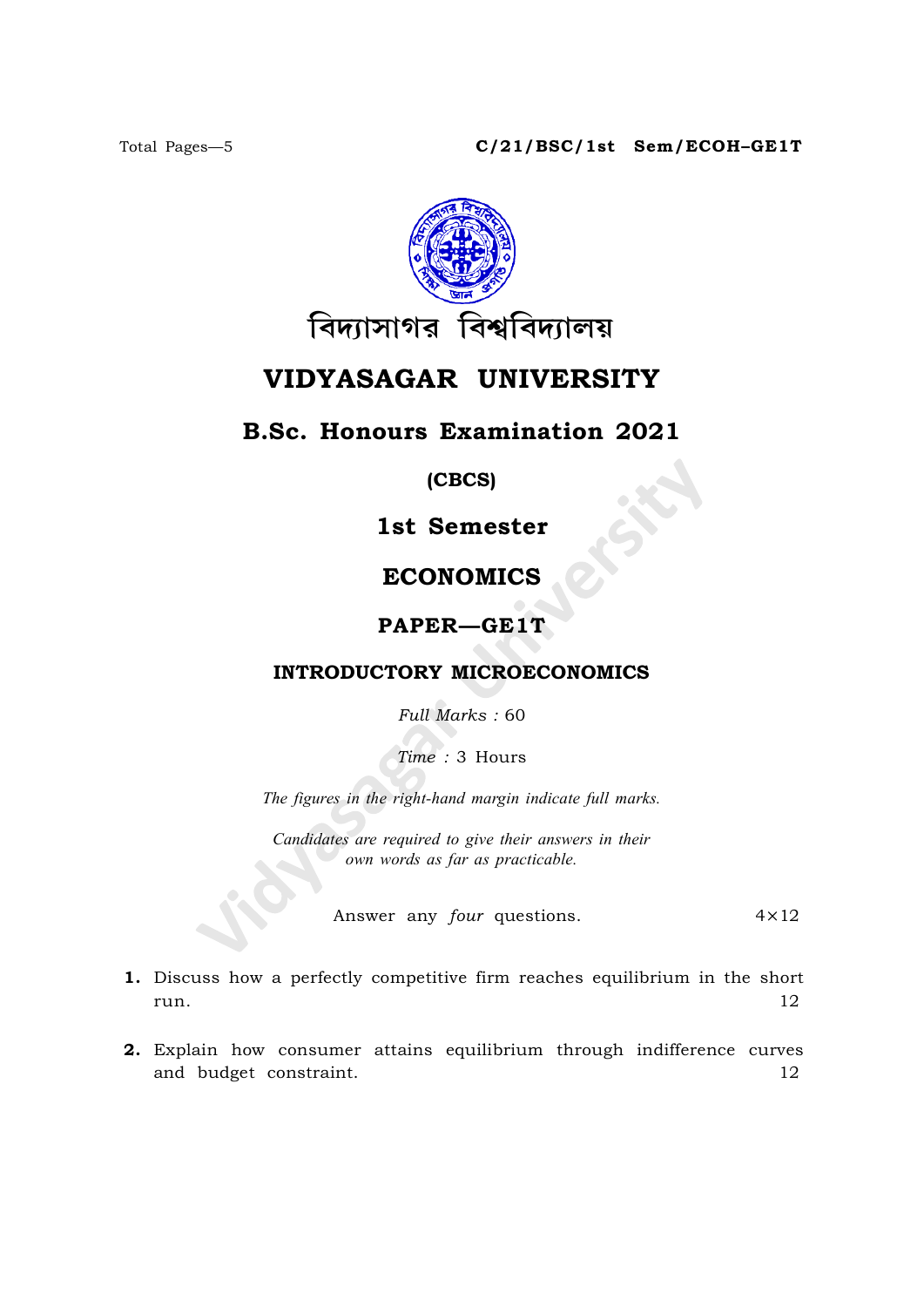

# VIDYASAGAR UNIVERSITY

## B.Sc. Honours Examination 2021

#### (CBCS)

## 1st Semester

## ECONOMICS

### PAPER—GE1T

#### INTRODUCTORY MICROECONOMICS

Full Marks : 60

Time : 3 Hours

The figures in the right-hand margin indicate full marks.

Candidates are required to give their answers in their own words as far as practicable.

Answer any *four* questions. 4×12

- 1. Discuss how a perfectly competitive firm reaches equilibrium in the short run.  $12$
- 2. Explain how consumer attains equilibrium through indifference curves and budget constraint. 12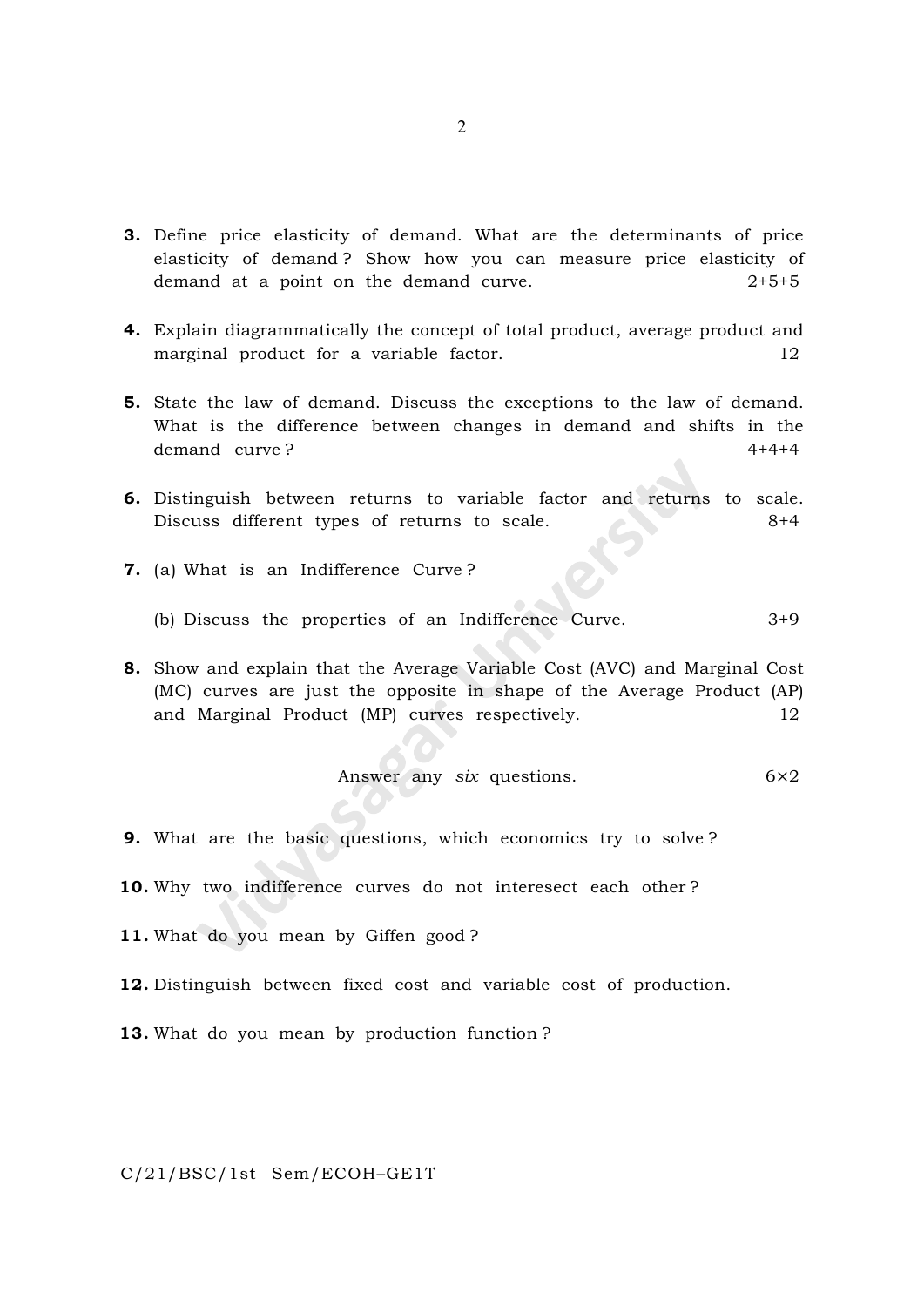- 3. Define price elasticity of demand. What are the determinants of price elasticity of demand ? Show how you can measure price elasticity of demand at a point on the demand curve.  $2+5+5$
- 4. Explain diagrammatically the concept of total product, average product and marginal product for a variable factor. 12
- 5. State the law of demand. Discuss the exceptions to the law of demand. What is the difference between changes in demand and shifts in the demand curve ? 4+4+4
- 6. Distinguish between returns to variable factor and returns to scale. Discuss different types of returns to scale. 8+4
- 7. (a) What is an Indifference Curve ?
	- (b) Discuss the properties of an Indifference Curve. 3+9
- 8. Show and explain that the Average Variable Cost (AVC) and Marginal Cost (MC) curves are just the opposite in shape of the Average Product (AP) and Marginal Product (MP) curves respectively.  $12$

Answer any 
$$
six
$$
 questions.  $6 \times 2$ 

- 9. What are the basic questions, which economics try to solve ?
- 10. Why two indifference curves do not interesect each other?
- 11. What do you mean by Giffen good?
- 12. Distinguish between fixed cost and variable cost of production.
- 13. What do you mean by production function?

C/21/BSC/1st Sem/ECOH–GE1T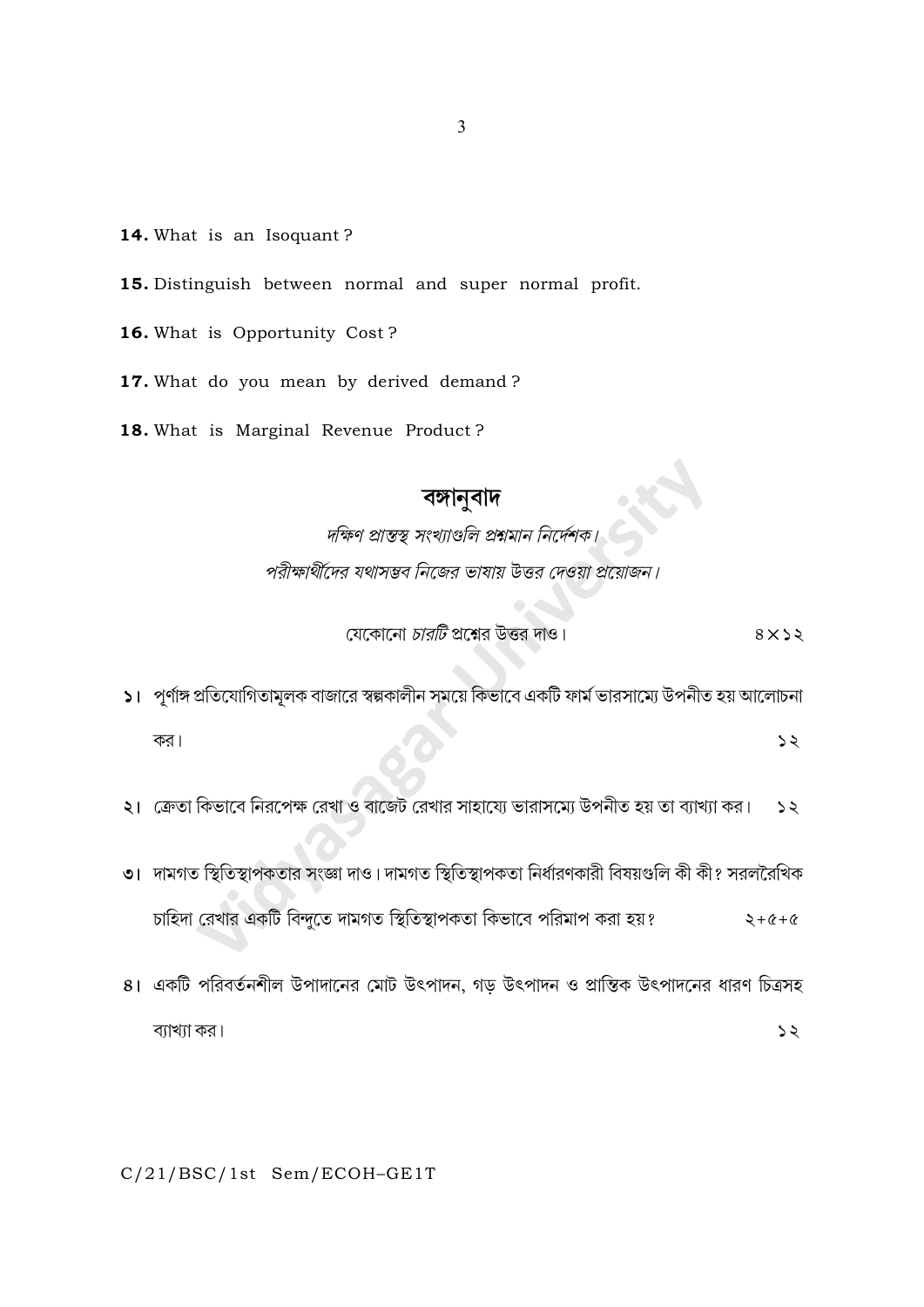- 14. What is an Isoquant?
- 15. Distinguish between normal and super normal profit.
- 16. What is Opportunity Cost?

17. What do you mean by derived demand?

18. What is Marginal Revenue Product?

**বঙ্গানুবাদ**<br>দক্ষিণ প্রান্তস্থ সংখ্যাণ্ডলি প্রশ্নমান নির্দেশক। পরীক্ষার্থীদের যথাসম্ভব নিজের ভাষায় উত্তর দেওয়া প্রয়োজন।

> যেকোনো *চারটি* প্রশ্নের উত্তর দাও।  $8 \times 52$

- ১। পূর্ণাঙ্গ প্রতিযোগিতামূলক বাজারে স্বল্পকালীন সময়ে কিভাবে একটি ফার্ম ভারসাম্যে উপনীত হয় আলোচনা কর।  $52$
- ২। ক্রেতা কিভাবে নিরপেক্ষ রেখা ও বাজেট রেখার সাহায্যে ভারাসম্মে উপনীত হয় তা ব্যাখ্যা কর।  $52$
- ৩। দামগত স্থিতিস্থাপকতার সংজ্ঞা দাও। দামগত স্থিতিস্থাপকতা নির্ধারণকারী বিষয়গুলি কী কী? সরলরৈখিক চাহিদা রেখার একটি বিন্দুতে দামগত স্থিতিস্থাপকতা কিভাবে পরিমাপ করা হয়?  $2 + 6 + 6$
- ৪। একটি পরিবর্তনশীল উপাদানের মোট উৎপাদন, গড় উৎপাদন ও প্রান্তিক উৎপাদনের ধারণ চিত্রসহ ব্যাখ্যা কর।  $55$

C/21/BSC/1st Sem/ECOH-GE1T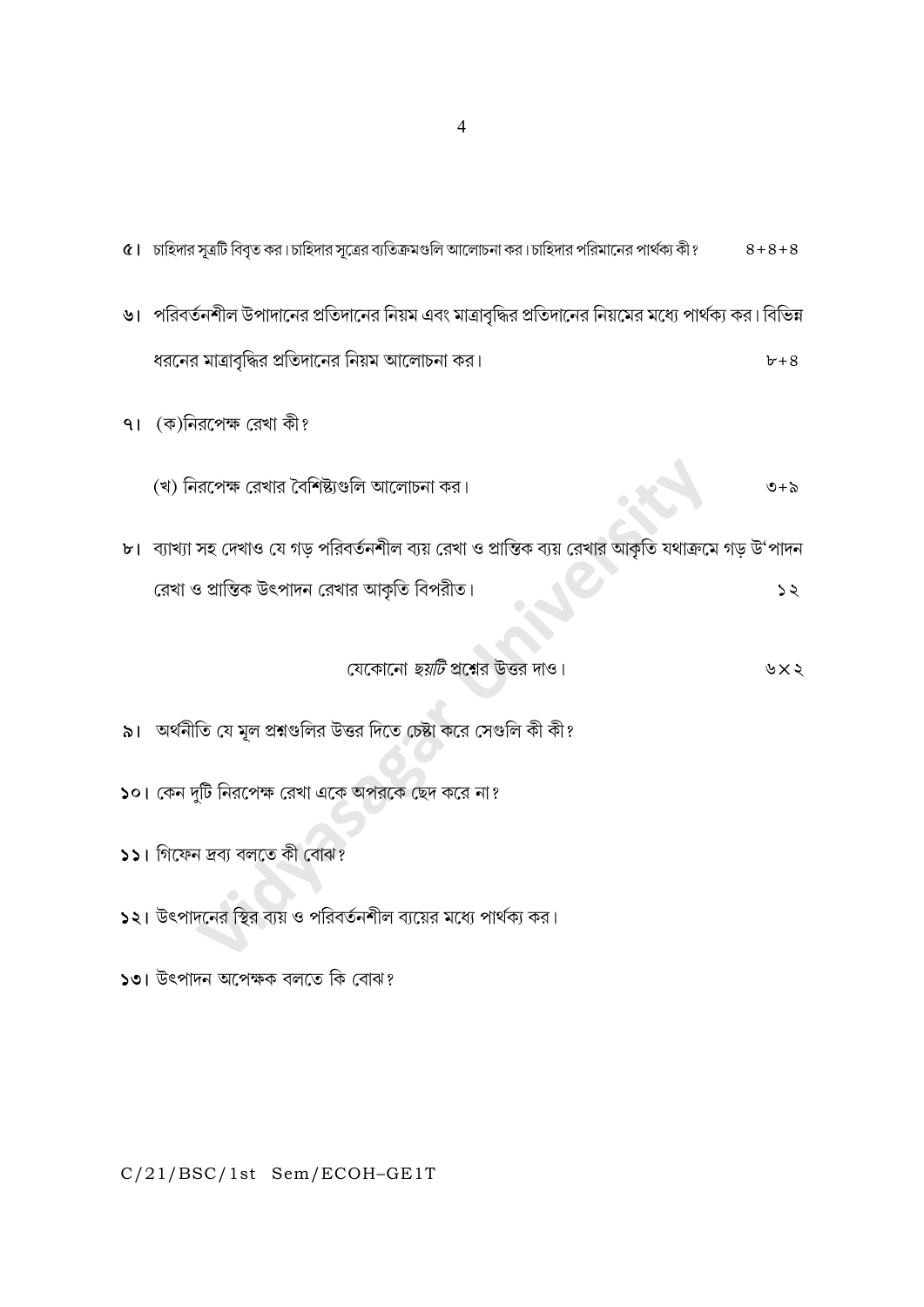| ৫।   চাহিদার সূত্রটি বিবৃত কর।চাহিদার সূত্রের ব্যতিক্রমণ্ডলি আলোচনা কর।চাহিদার পরিমানের পার্থক্য কী?       | $8 + 8 + 8$                 |
|------------------------------------------------------------------------------------------------------------|-----------------------------|
| ৬।   পরিবর্তনশীল উপাদানের প্রতিদানের নিয়ম এবং মাত্রাবৃদ্ধির প্রতিদানের নিয়মের মধ্যে পার্থক্য কর। বিভিন্ন |                             |
| ধরনের মাত্রাবৃদ্ধির প্রতিদানের নিয়ম আলোচনা কর।                                                            | $b+8$                       |
| ৭। (ক)নিরপেক্ষ রেখা কী?                                                                                    |                             |
| (খ) নিরপেক্ষ রেখার বৈশিষ্ট্যগুলি আলোচনা কর।                                                                | $\mathfrak{S}+\mathfrak{S}$ |
| ৮। ব্যাখ্যা সহ দেখাও যে গড় পরিবর্তনশীল ব্যয় রেখা ও প্রান্তিক ব্যয় রেখার আকৃতি যথাক্রমে গড় উ'পাদন       |                             |
| রেখা ও প্রান্তিক উৎপাদন রেখার আকৃতি বিপরীত।                                                                | 52                          |
| যেকোনো <i>ছয়টি</i> প্রশ্নের উত্তর দাও।                                                                    | ৬ $\times$ ২                |
| ৯।   অর্থনীতি যে মূল প্রশ্নগুলির উত্তর দিতে চেষ্টা করে সেগুলি কী কী?                                       |                             |
| ১০। কেন দুটি নিরপেক্ষ রেখা একে অপরকে ছেদ করে না?                                                           |                             |
| ১১। গিফেন দ্ৰব্য বলতে কী বোঝ?                                                                              |                             |
| ১২। উৎপাদনের স্থির ব্যয় ও পরিবর্তনশীল ব্যয়ের মধ্যে পার্থক্য কর।                                          |                             |

১৩। উৎপাদন অপেক্ষক বলতে কি বোঝ?

C/21/BSC/1st Sem/ECOH-GE1T

 $\overline{4}$